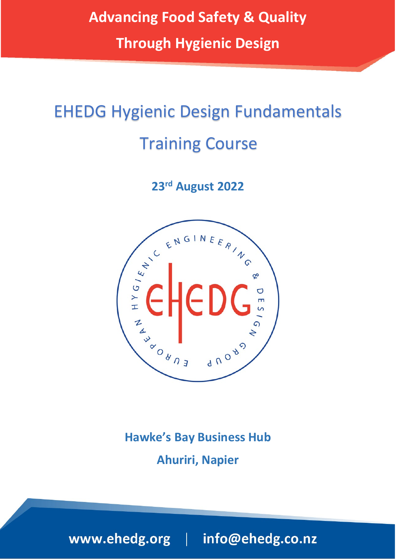**Advancing Food Safety & Quality**

**Through Hygienic Design**

# EHEDG Hygienic Design Fundamentals Training Course

**23rd August 2022**



**Hawke's Bay Business Hub Ahuriri, Napier**

www.ehedg.org | info@ehedg.co.nz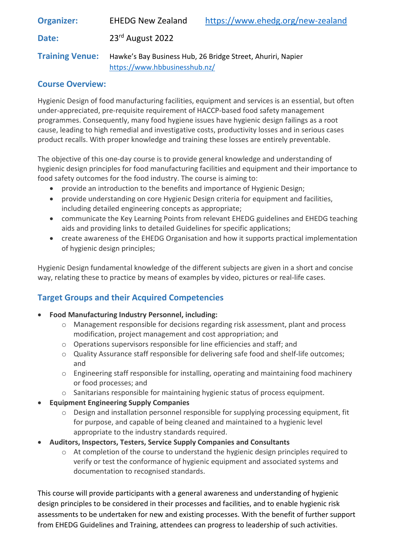**Organizer:** EHEDG New Zealand <https://www.ehedg.org/new-zealand> **Date:** 23rd August 2022 **Training Venue:** Hawke's Bay Business Hub, 26 Bridge Street, Ahuriri, Napier <https://www.hbbusinesshub.nz/>

### **Course Overview:**

Hygienic Design of food manufacturing facilities, equipment and services is an essential, but often under-appreciated, pre-requisite requirement of HACCP-based food safety management programmes. Consequently, many food hygiene issues have hygienic design failings as a root cause, leading to high remedial and investigative costs, productivity losses and in serious cases product recalls. With proper knowledge and training these losses are entirely preventable.

The objective of this one-day course is to provide general knowledge and understanding of hygienic design principles for food manufacturing facilities and equipment and their importance to food safety outcomes for the food industry. The course is aiming to:

- provide an introduction to the benefits and importance of Hygienic Design;
- provide understanding on core Hygienic Design criteria for equipment and facilities, including detailed engineering concepts as appropriate;
- communicate the Key Learning Points from relevant EHEDG guidelines and EHEDG teaching aids and providing links to detailed Guidelines for specific applications;
- create awareness of the EHEDG Organisation and how it supports practical implementation of hygienic design principles;

Hygienic Design fundamental knowledge of the different subjects are given in a short and concise way, relating these to practice by means of examples by video, pictures or real-life cases.

# **Target Groups and their Acquired Competencies**

#### • **Food Manufacturing Industry Personnel, including:**

- o Management responsible for decisions regarding risk assessment, plant and process modification, project management and cost appropriation; and
- o Operations supervisors responsible for line efficiencies and staff; and
- o Quality Assurance staff responsible for delivering safe food and shelf-life outcomes; and
- o Engineering staff responsible for installing, operating and maintaining food machinery or food processes; and
- $\circ$  Sanitarians responsible for maintaining hygienic status of process equipment.
- **Equipment Engineering Supply Companies**
	- o Design and installation personnel responsible for supplying processing equipment, fit for purpose, and capable of being cleaned and maintained to a hygienic level appropriate to the industry standards required.
- **Auditors, Inspectors, Testers, Service Supply Companies and Consultants**
	- $\circ$  At completion of the course to understand the hygienic design principles required to verify or test the conformance of hygienic equipment and associated systems and documentation to recognised standards.

This course will provide participants with a general awareness and understanding of hygienic design principles to be considered in their processes and facilities, and to enable hygienic risk assessments to be undertaken for new and existing processes. With the benefit of further support from EHEDG Guidelines and Training, attendees can progress to leadership of such activities.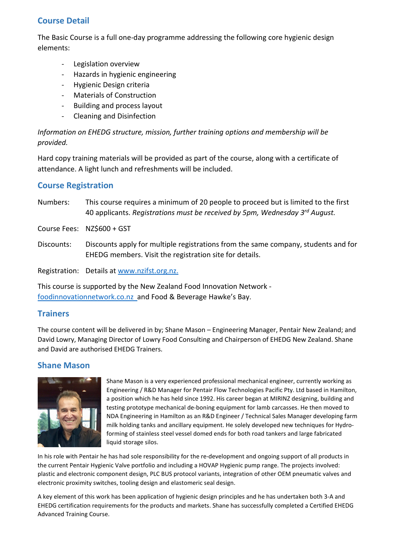### **Course Detail**

The Basic Course is a full one-day programme addressing the following core hygienic design elements:

- Legislation overview
- Hazards in hygienic engineering
- Hygienic Design criteria
- Materials of Construction
- Building and process layout
- Cleaning and Disinfection

*Information on EHEDG structure, mission, further training options and membership will be provided.*

Hard copy training materials will be provided as part of the course, along with a certificate of attendance. A light lunch and refreshments will be included.

#### **Course Registration**

Numbers: This course requires a minimum of 20 people to proceed but is limited to the first 40 applicants. *Registrations must be received by 5pm, Wednesday 3rd August.*

Course Fees: NZ\$600 + GST

Discounts: Discounts apply for multiple registrations from the same company, students and for EHEDG members. Visit the registration site for details.

Registration: Details at [www.nzifst.org.nz.](http://www.nzifst.org.nz/)

This course is supported by the New Zealand Food Innovation Network [foodinnovationnetwork.co.nz](https://foodinnovationnetwork.co.nz/) and Food & Beverage Hawke's Bay.

# **Trainers**

The course content will be delivered in by; Shane Mason – Engineering Manager, Pentair New Zealand; and David Lowry, Managing Director of Lowry Food Consulting and Chairperson of EHEDG New Zealand. Shane and David are authorised EHEDG Trainers.

# **Shane Mason**



Shane Mason is a very experienced professional mechanical engineer, currently working as Engineering / R&D Manager for Pentair Flow Technologies Pacific Pty. Ltd based in Hamilton, a position which he has held since 1992. His career began at MIRINZ designing, building and testing prototype mechanical de-boning equipment for lamb carcasses. He then moved to NDA Engineering in Hamilton as an R&D Engineer / Technical Sales Manager developing farm milk holding tanks and ancillary equipment. He solely developed new techniques for Hydroforming of stainless steel vessel domed ends for both road tankers and large fabricated liquid storage silos.

In his role with Pentair he has had sole responsibility for the re-development and ongoing support of all products in the current Pentair Hygienic Valve portfolio and including a HOVAP Hygienic pump range. The projects involved: plastic and electronic component design, PLC BUS protocol variants, integration of other OEM pneumatic valves and electronic proximity switches, tooling design and elastomeric seal design.

A key element of this work has been application of hygienic design principles and he has undertaken both 3-A and EHEDG certification requirements for the products and markets. Shane has successfully completed a Certified EHEDG Advanced Training Course.